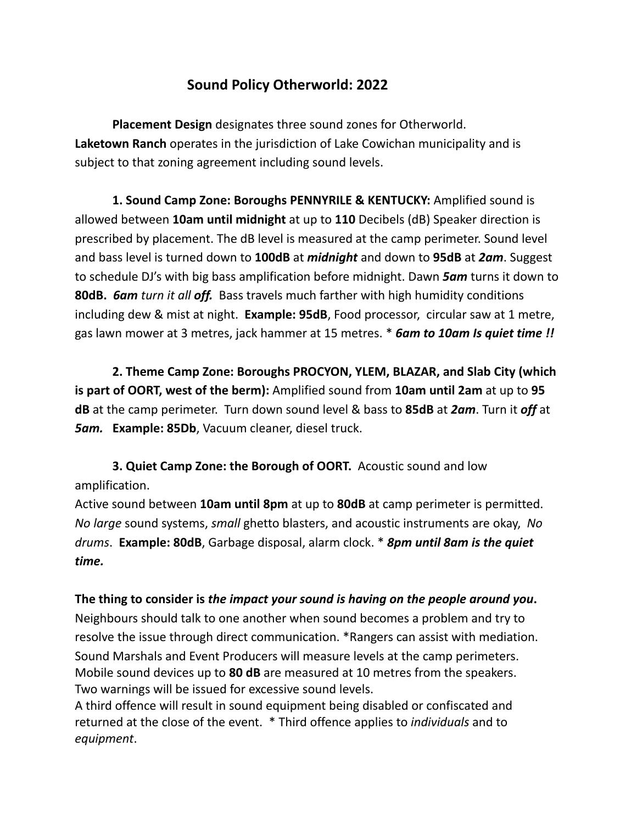## **Sound Policy Otherworld: 2022**

**Placement Design** designates three sound zones for Otherworld. **Laketown Ranch** operates in the jurisdiction of Lake Cowichan municipality and is subject to that zoning agreement including sound levels.

**1. Sound Camp Zone: Boroughs PENNYRILE & KENTUCKY:** Amplified sound is allowed between **10am until midnight** at up to **110** Decibels (dB) Speaker direction is prescribed by placement. The dB level is measured at the camp perimeter. Sound level and bass level is turned down to **100dB** at *midnight* and down to **95dB** at *2am*. Suggest to schedule DJ's with big bass amplification before midnight. Dawn *5am* turns it down to **80dB.** *6am turn it all off.* Bass travels much farther with high humidity conditions including dew & mist at night. **Example: 95dB**, Food processor, circular saw at 1 metre, gas lawn mower at 3 metres, jack hammer at 15 metres. \* *6am to 10am Is quiet time !!*

**2. Theme Camp Zone: Boroughs PROCYON, YLEM, BLAZAR, and Slab City (which is part of OORT, west of the berm):** Amplified sound from **10am until 2am** at up to **95 dB** at the camp perimeter. Turn down sound level & bass to **85dB** at *2am*. Turn it *off* at *5am.* **Example: 85Db**, Vacuum cleaner, diesel truck.

**3. Quiet Camp Zone: the Borough of OORT.** Acoustic sound and low amplification.

Active sound between **10am until 8pm** at up to **80dB** at camp perimeter is permitted. *No large* sound systems, *small* ghetto blasters, and acoustic instruments are okay, *No drums*. **Example: 80dB**, Garbage disposal, alarm clock. \* *8pm until 8am is the quiet time.*

**The thing to consider is** *the impact your sound is having on the people around you***.** Neighbours should talk to one another when sound becomes a problem and try to resolve the issue through direct communication. \*Rangers can assist with mediation. Sound Marshals and Event Producers will measure levels at the camp perimeters. Mobile sound devices up to **80 dB** are measured at 10 metres from the speakers. Two warnings will be issued for excessive sound levels.

A third offence will result in sound equipment being disabled or confiscated and returned at the close of the event. \* Third offence applies to *individuals* and to *equipment*.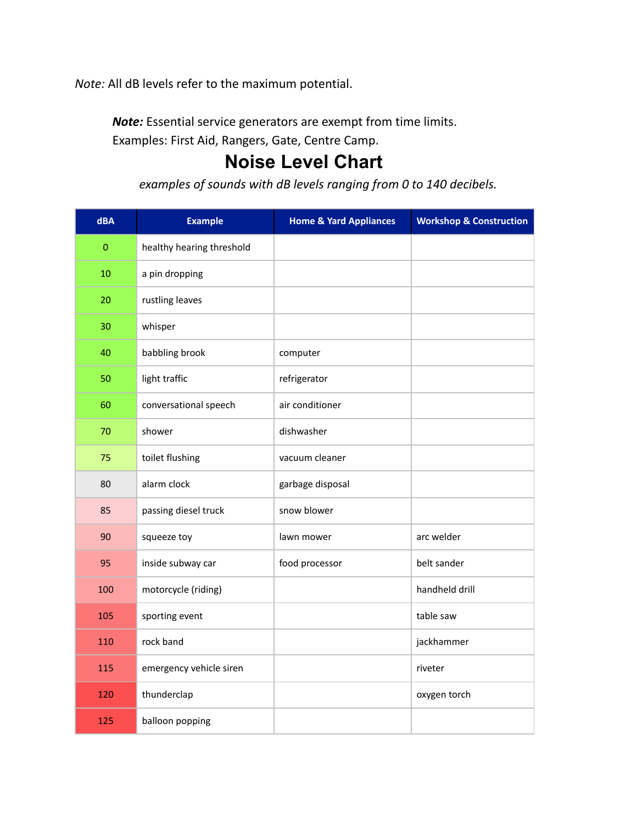*Note:* All dB levels refer to the maximum potential.

*Note:* Essential service generators are exempt from time limits.

Examples: First Aid, Rangers, Gate, Centre Camp.

## **Noise Level Chart**

*examples of sounds with dB levels ranging from 0 to 140 decibels.*

| dBA     | <b>Example</b>            | <b>Home &amp; Yard Appliances</b> | <b>Workshop &amp; Construction</b> |
|---------|---------------------------|-----------------------------------|------------------------------------|
| $\bf 0$ | healthy hearing threshold |                                   |                                    |
| 10      | a pin dropping            |                                   |                                    |
| 20      | rustling leaves           |                                   |                                    |
| 30      | whisper                   |                                   |                                    |
| 40      | babbling brook            | computer                          |                                    |
| 50      | light traffic             | refrigerator                      |                                    |
| 60      | conversational speech     | air conditioner                   |                                    |
| 70      | shower                    | dishwasher                        |                                    |
| 75      | toilet flushing           | vacuum cleaner                    |                                    |
| 80      | alarm clock               | garbage disposal                  |                                    |
| 85      | passing diesel truck      | snow blower                       |                                    |
| 90      | squeeze toy               | lawn mower                        | arc welder                         |
| 95      | inside subway car         | food processor                    | belt sander                        |
| 100     | motorcycle (riding)       |                                   | handheld drill                     |
| 105     | sporting event            |                                   | table saw                          |
| 110     | rock band                 |                                   | jackhammer                         |
| 115     | emergency vehicle siren   |                                   | riveter                            |
| 120     | thunderclap               |                                   | oxygen torch                       |
| 125     | balloon popping           |                                   |                                    |